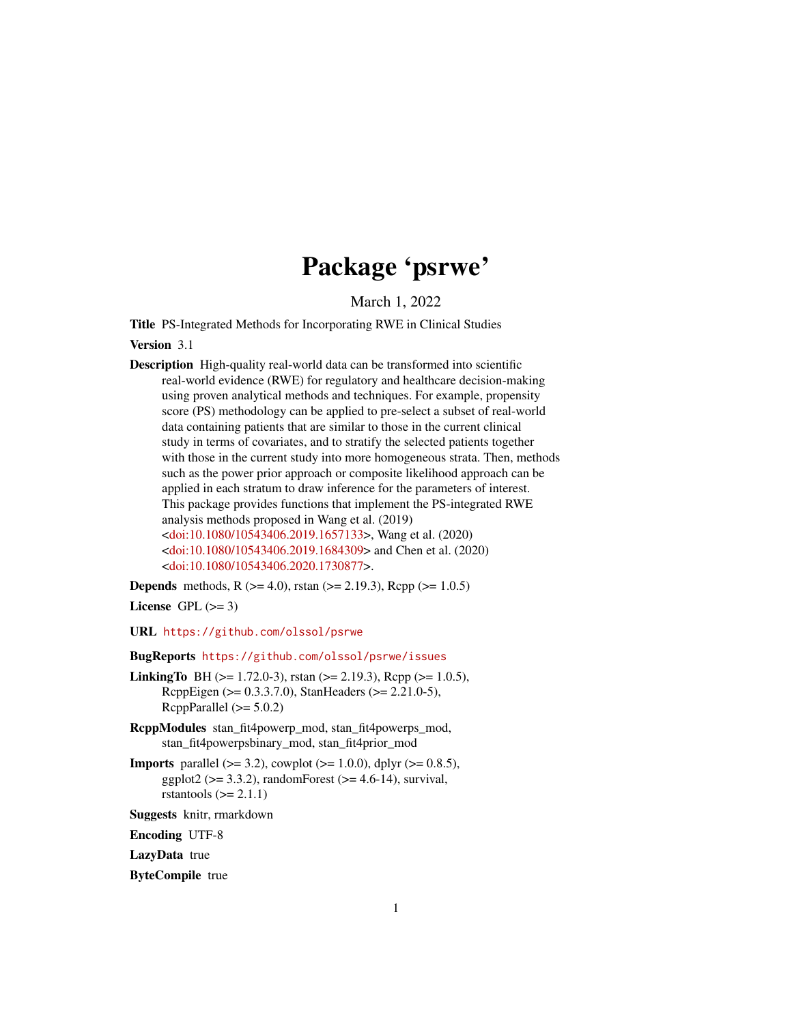# Package 'psrwe'

March 1, 2022

Title PS-Integrated Methods for Incorporating RWE in Clinical Studies

Version 3.1

Description High-quality real-world data can be transformed into scientific real-world evidence (RWE) for regulatory and healthcare decision-making using proven analytical methods and techniques. For example, propensity score (PS) methodology can be applied to pre-select a subset of real-world data containing patients that are similar to those in the current clinical study in terms of covariates, and to stratify the selected patients together with those in the current study into more homogeneous strata. Then, methods such as the power prior approach or composite likelihood approach can be applied in each stratum to draw inference for the parameters of interest. This package provides functions that implement the PS-integrated RWE analysis methods proposed in Wang et al. (2019) [<doi:10.1080/10543406.2019.1657133>](https://doi.org/10.1080/10543406.2019.1657133), Wang et al. (2020) [<doi:10.1080/10543406.2019.1684309>](https://doi.org/10.1080/10543406.2019.1684309) and Chen et al. (2020) [<doi:10.1080/10543406.2020.1730877>](https://doi.org/10.1080/10543406.2020.1730877).

**Depends** methods, R  $(>= 4.0)$ , rstan  $(>= 2.19.3)$ , Rcpp  $(>= 1.0.5)$ 

License GPL  $(>= 3)$ 

URL <https://github.com/olssol/psrwe>

BugReports <https://github.com/olssol/psrwe/issues>

- **LinkingTo** BH ( $> = 1.72.0-3$ ), rstan ( $> = 2.19.3$ ), Rcpp ( $> = 1.0.5$ ), RcppEigen (>= 0.3.3.7.0), StanHeaders (>= 2.21.0-5), RcppParallel  $(>= 5.0.2)$
- RcppModules stan\_fit4powerp\_mod, stan\_fit4powerps\_mod, stan\_fit4powerpsbinary\_mod, stan\_fit4prior\_mod
- **Imports** parallel ( $>= 3.2$ ), cowplot ( $>= 1.0.0$ ), dplyr ( $>= 0.8.5$ ), ggplot2 ( $>= 3.3.2$ ), randomForest ( $>= 4.6-14$ ), survival, rstantools  $(>= 2.1.1)$
- Suggests knitr, rmarkdown

Encoding UTF-8

LazyData true

ByteCompile true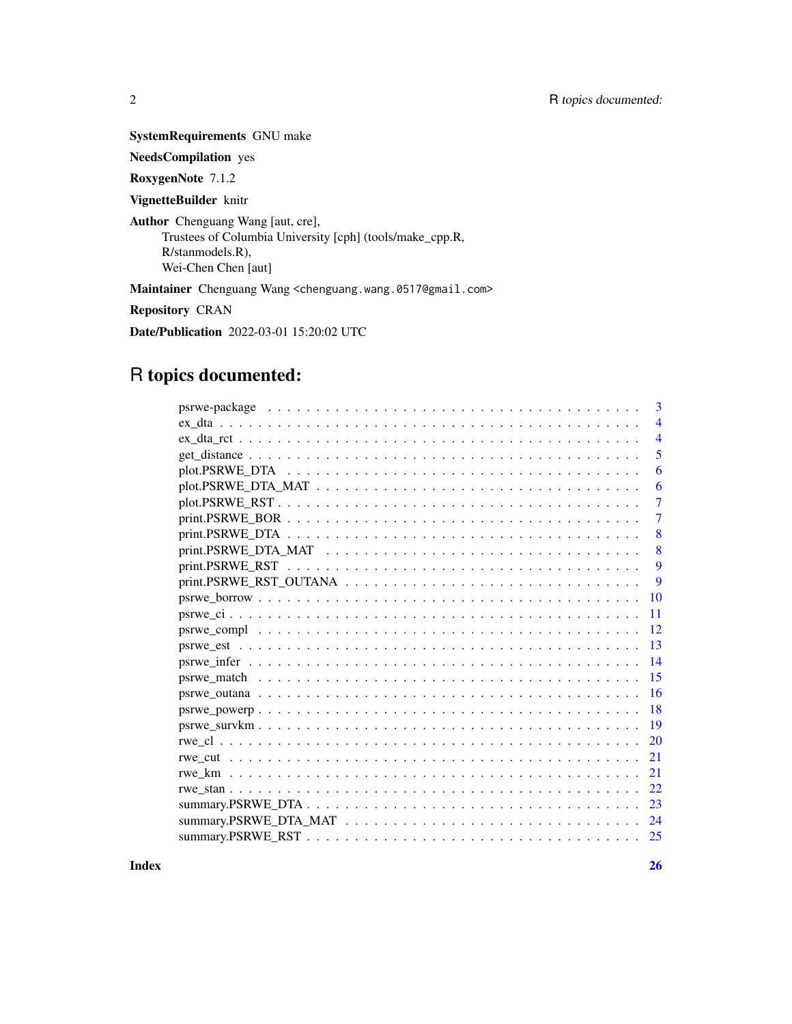SystemRequirements GNU make

NeedsCompilation yes

RoxygenNote 7.1.2

VignetteBuilder knitr

Author Chenguang Wang [aut, cre], Trustees of Columbia University [cph] (tools/make\_cpp.R, R/stanmodels.R), Wei-Chen Chen [aut]

Maintainer Chenguang Wang <chenguang.wang.0517@gmail.com>

Repository CRAN

Date/Publication 2022-03-01 15:20:02 UTC

## R topics documented:

|           | 3 |
|-----------|---|
|           | 4 |
|           | 4 |
|           | 5 |
|           | 6 |
|           | 6 |
|           | 7 |
|           | 7 |
|           | 8 |
|           | 8 |
|           | 9 |
|           | 9 |
| 10        |   |
| 11        |   |
| 12        |   |
| 13        |   |
| 14        |   |
| 15        |   |
| 16        |   |
| 18        |   |
| 19        |   |
| <b>20</b> |   |
| 21        |   |
| 21        |   |
| 22        |   |
| 23        |   |
| 24        |   |
| 25        |   |

**Index** [26](#page-25-0)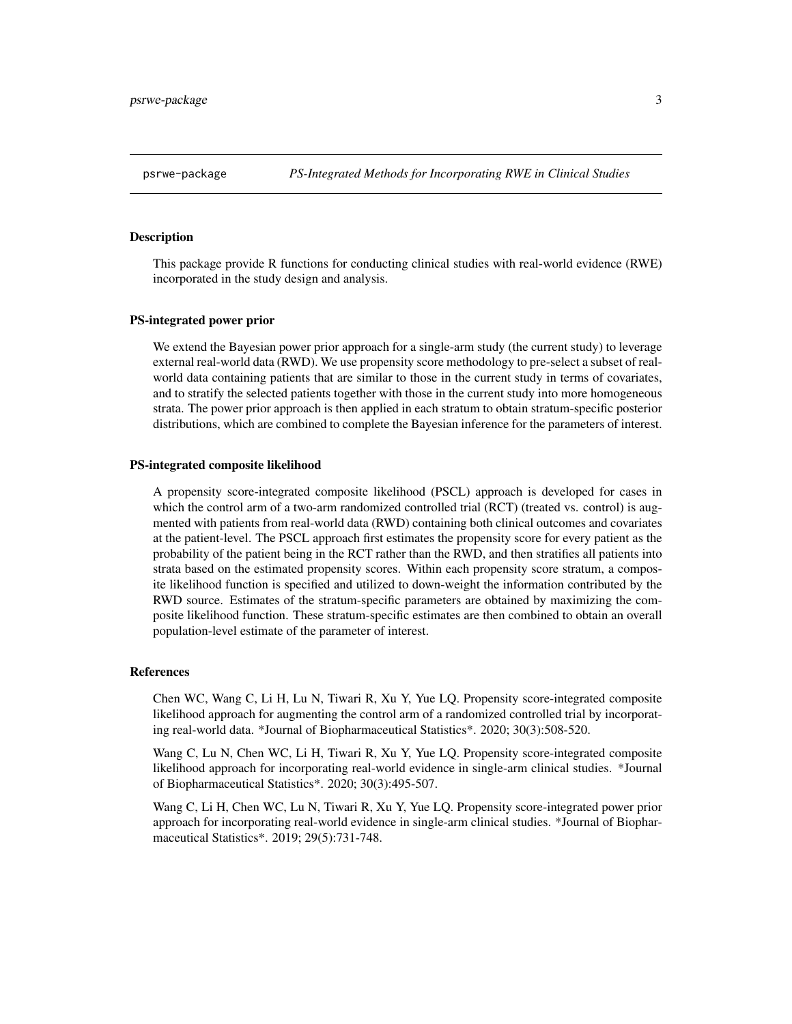<span id="page-2-0"></span>This package provide R functions for conducting clinical studies with real-world evidence (RWE) incorporated in the study design and analysis.

#### PS-integrated power prior

We extend the Bayesian power prior approach for a single-arm study (the current study) to leverage external real-world data (RWD). We use propensity score methodology to pre-select a subset of realworld data containing patients that are similar to those in the current study in terms of covariates, and to stratify the selected patients together with those in the current study into more homogeneous strata. The power prior approach is then applied in each stratum to obtain stratum-specific posterior distributions, which are combined to complete the Bayesian inference for the parameters of interest.

#### PS-integrated composite likelihood

A propensity score-integrated composite likelihood (PSCL) approach is developed for cases in which the control arm of a two-arm randomized controlled trial (RCT) (treated vs. control) is augmented with patients from real-world data (RWD) containing both clinical outcomes and covariates at the patient-level. The PSCL approach first estimates the propensity score for every patient as the probability of the patient being in the RCT rather than the RWD, and then stratifies all patients into strata based on the estimated propensity scores. Within each propensity score stratum, a composite likelihood function is specified and utilized to down-weight the information contributed by the RWD source. Estimates of the stratum-specific parameters are obtained by maximizing the composite likelihood function. These stratum-specific estimates are then combined to obtain an overall population-level estimate of the parameter of interest.

#### References

Chen WC, Wang C, Li H, Lu N, Tiwari R, Xu Y, Yue LQ. Propensity score-integrated composite likelihood approach for augmenting the control arm of a randomized controlled trial by incorporating real-world data. \*Journal of Biopharmaceutical Statistics\*. 2020; 30(3):508-520.

Wang C, Lu N, Chen WC, Li H, Tiwari R, Xu Y, Yue LQ. Propensity score-integrated composite likelihood approach for incorporating real-world evidence in single-arm clinical studies. \*Journal of Biopharmaceutical Statistics\*. 2020; 30(3):495-507.

Wang C, Li H, Chen WC, Lu N, Tiwari R, Xu Y, Yue LQ. Propensity score-integrated power prior approach for incorporating real-world evidence in single-arm clinical studies. \*Journal of Biopharmaceutical Statistics\*. 2019; 29(5):731-748.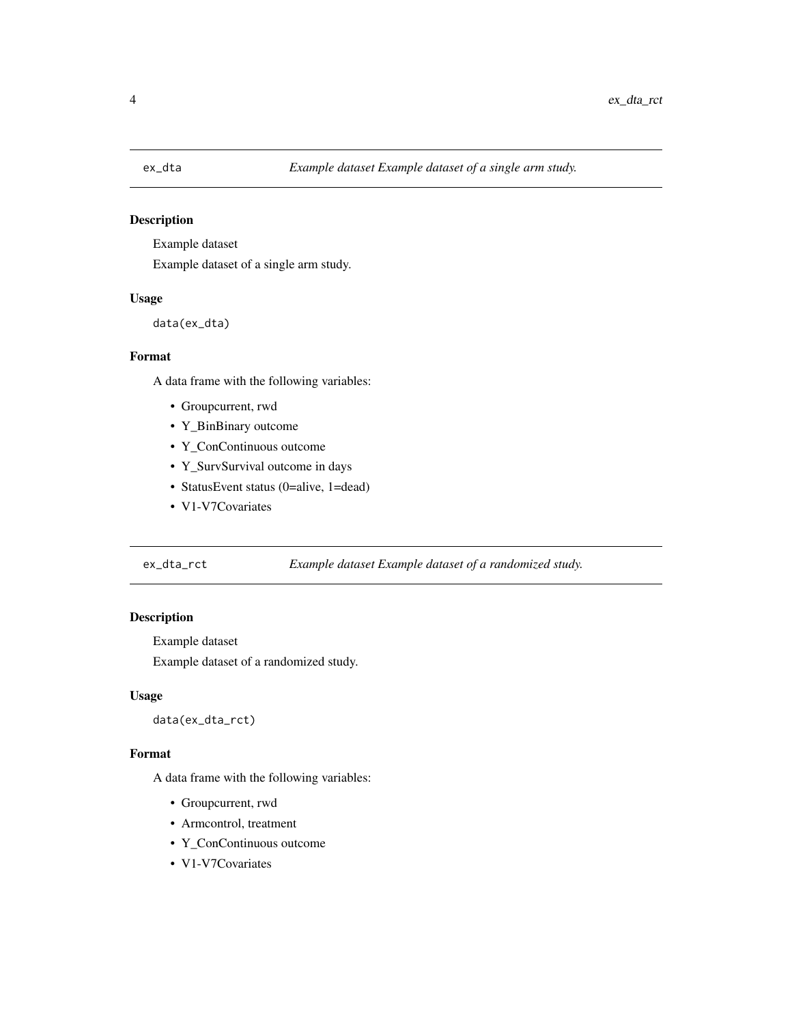<span id="page-3-0"></span>

Example dataset

Example dataset of a single arm study.

## Usage

data(ex\_dta)

## Format

A data frame with the following variables:

- Groupcurrent, rwd
- Y\_BinBinary outcome
- Y\_ConContinuous outcome
- Y\_SurvSurvival outcome in days
- StatusEvent status (0=alive, 1=dead)
- V1-V7Covariates

## ex\_dta\_rct *Example dataset Example dataset of a randomized study.*

## Description

Example dataset

Example dataset of a randomized study.

## Usage

data(ex\_dta\_rct)

#### Format

A data frame with the following variables:

- Groupcurrent, rwd
- Armcontrol, treatment
- Y\_ConContinuous outcome
- V1-V7Covariates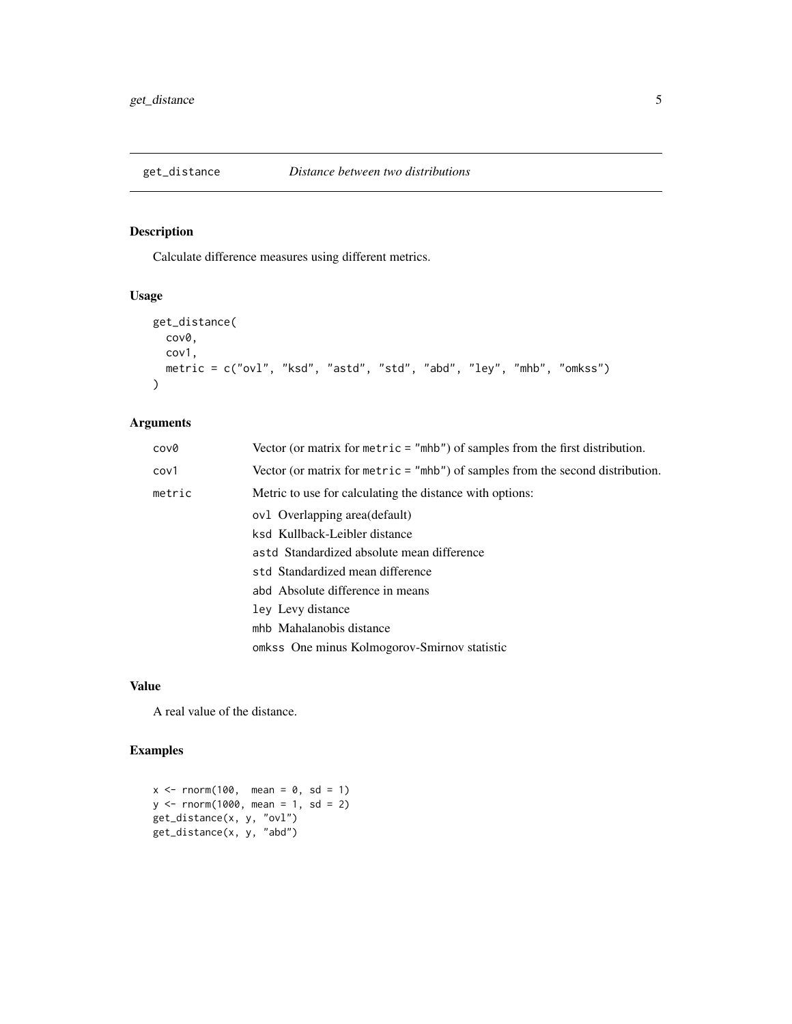<span id="page-4-0"></span>

Calculate difference measures using different metrics.

## Usage

```
get_distance(
 cov0,
 cov1,
 metric = c("ovl", "ksd", "astd", "std", "abd", "ley", "mhb", "omkss")
)
```
## Arguments

| cov0   | Vector (or matrix for $metric = "mhb")$ of samples from the first distribution.  |
|--------|----------------------------------------------------------------------------------|
| cov1   | Vector (or matrix for metric $=$ "mhb") of samples from the second distribution. |
| metric | Metric to use for calculating the distance with options:                         |
|        | ovl Overlapping area(default)                                                    |
|        | ksd Kullback-Leibler distance                                                    |
|        | astd Standardized absolute mean difference                                       |
|        | std Standardized mean difference                                                 |
|        | abd Absolute difference in means                                                 |
|        | ley Levy distance                                                                |
|        | mhb Mahalanobis distance                                                         |
|        | omkss One minus Kolmogorov-Smirnov statistic                                     |

## Value

A real value of the distance.

## Examples

```
x < - rnorm(100, mean = 0, sd = 1)
y \le - rnorm(1000, mean = 1, sd = 2)
get_distance(x, y, "ovl")
get_distance(x, y, "abd")
```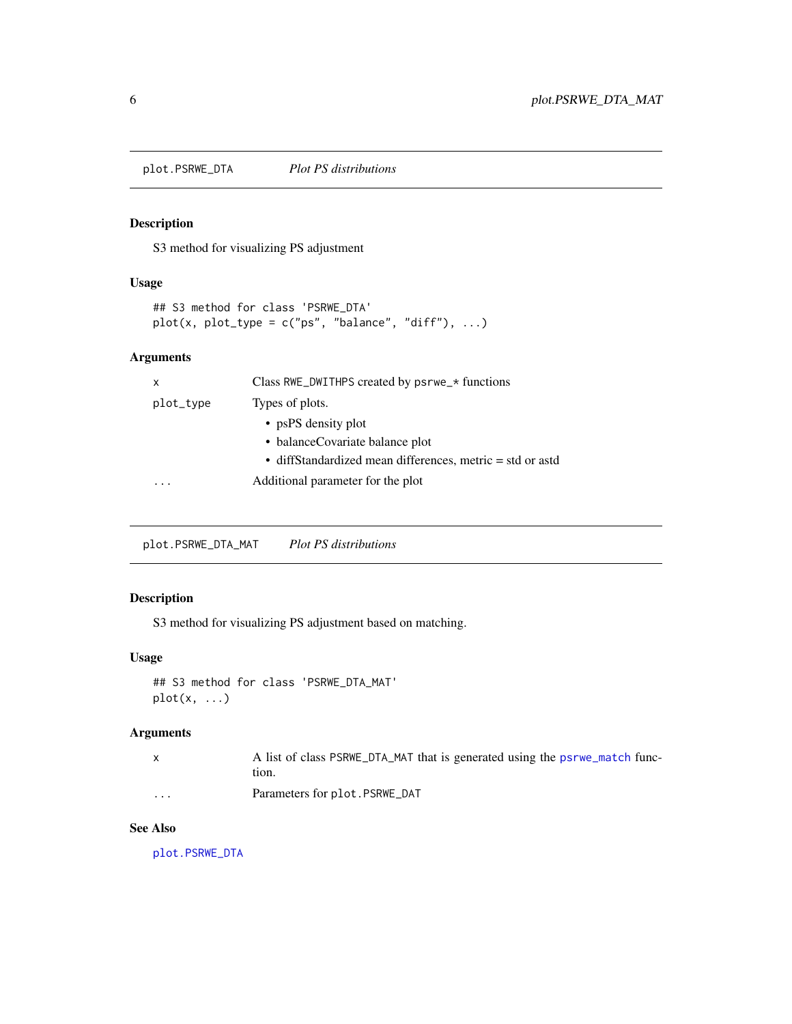<span id="page-5-1"></span><span id="page-5-0"></span>plot.PSRWE\_DTA *Plot PS distributions*

## Description

S3 method for visualizing PS adjustment

#### Usage

```
## S3 method for class 'PSRWE_DTA'
plot(x, plot_type = c("ps", "balance", "diff"), ...)
```
#### Arguments

| x         | Class RWE_DWITHPS created by psrwe_* functions            |
|-----------|-----------------------------------------------------------|
| plot_type | Types of plots.                                           |
|           | • psPS density plot                                       |
|           | • balance Covariate balance plot                          |
|           | • diffStandardized mean differences, metric = std or astd |
|           | Additional parameter for the plot                         |
|           |                                                           |

plot.PSRWE\_DTA\_MAT *Plot PS distributions*

## Description

S3 method for visualizing PS adjustment based on matching.

## Usage

```
## S3 method for class 'PSRWE_DTA_MAT'
plot(x, \ldots)
```
## Arguments

|          | A list of class PSRWE_DTA_MAT that is generated using the psrwe_match func-<br>tion. |
|----------|--------------------------------------------------------------------------------------|
| $\cdots$ | Parameters for plot. PSRWE DAT                                                       |

## See Also

[plot.PSRWE\\_DTA](#page-5-1)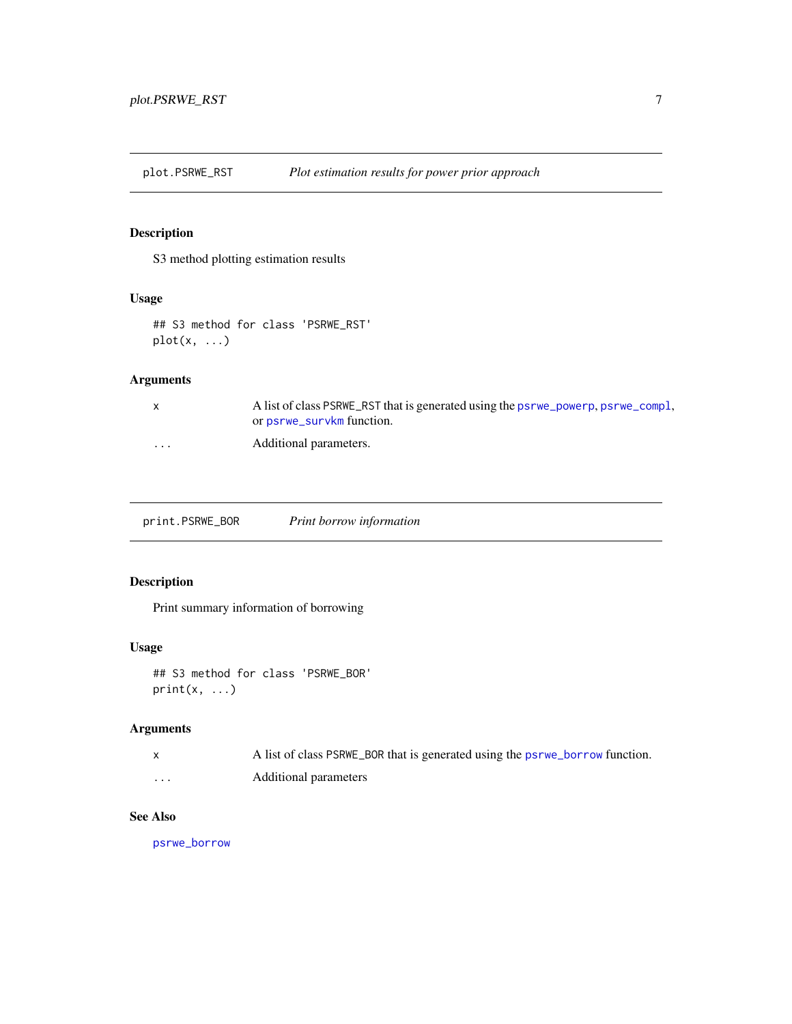<span id="page-6-0"></span>plot.PSRWE\_RST *Plot estimation results for power prior approach*

## Description

S3 method plotting estimation results

## Usage

```
## S3 method for class 'PSRWE_RST'
plot(x, ...)
```
## Arguments

| x        | A list of class PSRWE_RST that is generated using the psrwe_powerp, psrwe_compl,<br>or psrwe_survkm function. |
|----------|---------------------------------------------------------------------------------------------------------------|
| $\cdots$ | Additional parameters.                                                                                        |

print.PSRWE\_BOR *Print borrow information*

## Description

Print summary information of borrowing

## Usage

## S3 method for class 'PSRWE\_BOR'  $print(x, \ldots)$ 

## Arguments

|          | A list of class PSRWE_BOR that is generated using the psrwe_borrow function. |
|----------|------------------------------------------------------------------------------|
| $\cdots$ | Additional parameters                                                        |

#### See Also

[psrwe\\_borrow](#page-9-1)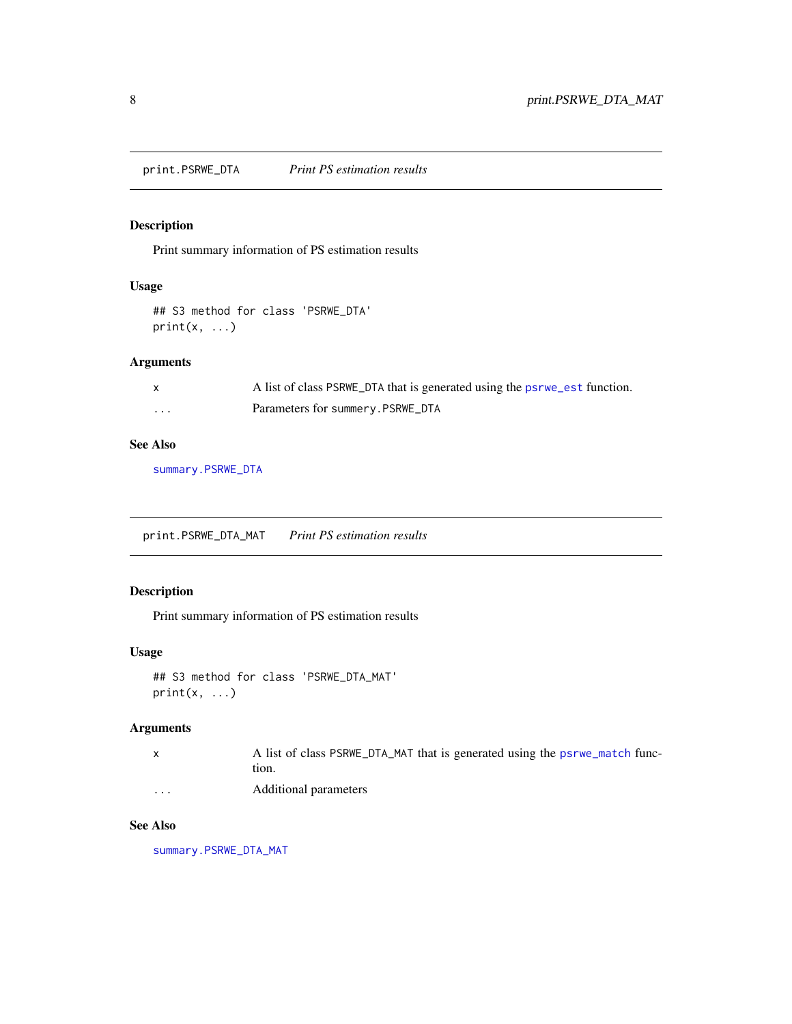<span id="page-7-0"></span>print.PSRWE\_DTA *Print PS estimation results*

## Description

Print summary information of PS estimation results

## Usage

```
## S3 method for class 'PSRWE_DTA'
print(x, \ldots)
```
## Arguments

|   | A list of class PSRWE_DTA that is generated using the psrwe_est function. |
|---|---------------------------------------------------------------------------|
| . | Parameters for summery.PSRWE_DTA                                          |

## See Also

[summary.PSRWE\\_DTA](#page-22-1)

print.PSRWE\_DTA\_MAT *Print PS estimation results*

## Description

Print summary information of PS estimation results

## Usage

```
## S3 method for class 'PSRWE_DTA_MAT'
print(x, \ldots)
```
## Arguments

|                      | A list of class PSRWE_DTA_MAT that is generated using the psrwe_match func-<br>tion. |
|----------------------|--------------------------------------------------------------------------------------|
| $\ddot{\phantom{0}}$ | Additional parameters                                                                |

## See Also

[summary.PSRWE\\_DTA\\_MAT](#page-23-1)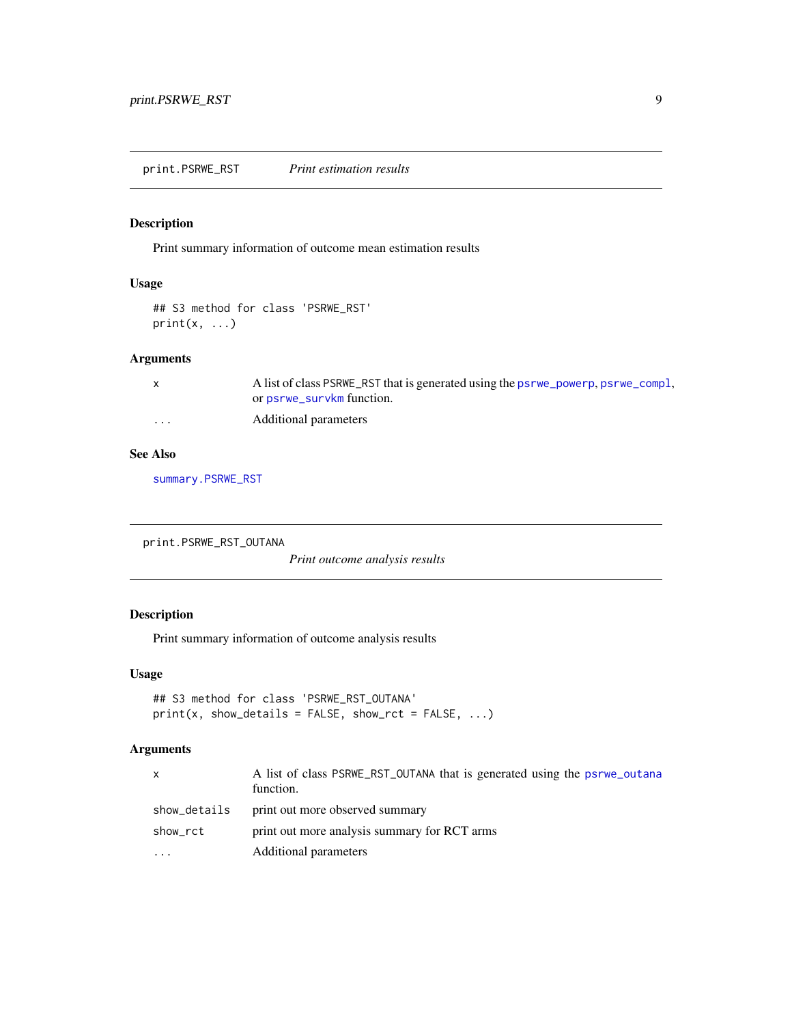<span id="page-8-0"></span>Print summary information of outcome mean estimation results

## Usage

```
## S3 method for class 'PSRWE_RST'
print(x, \ldots)
```
## Arguments

|         | A list of class PSRWE_RST that is generated using the psrwe_powerp, psrwe_compl, |
|---------|----------------------------------------------------------------------------------|
|         | or psrwe_survkm function.                                                        |
| $\cdot$ | Additional parameters                                                            |

## See Also

[summary.PSRWE\\_RST](#page-24-1)

print.PSRWE\_RST\_OUTANA

*Print outcome analysis results*

## Description

Print summary information of outcome analysis results

#### Usage

```
## S3 method for class 'PSRWE_RST_OUTANA'
print(x, show\_details = FALSE, show\_rct = FALSE, ...)
```

| X            | A list of class PSRWE_RST_OUTANA that is generated using the psrwe_outana<br>function. |
|--------------|----------------------------------------------------------------------------------------|
| show_details | print out more observed summary                                                        |
| show_rct     | print out more analysis summary for RCT arms                                           |
| $\cdots$     | Additional parameters                                                                  |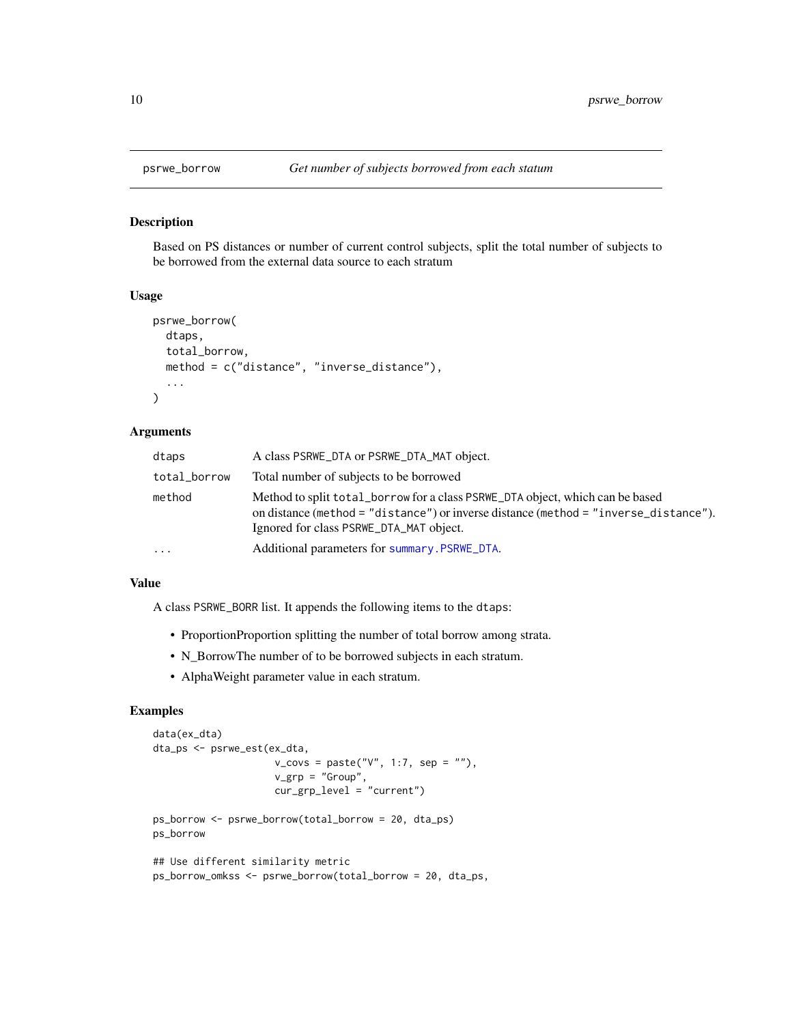<span id="page-9-1"></span><span id="page-9-0"></span>

Based on PS distances or number of current control subjects, split the total number of subjects to be borrowed from the external data source to each stratum

#### Usage

```
psrwe_borrow(
  dtaps,
  total_borrow,
  method = c("distance", "inverse_distance"),
  ...
\mathcal{L}
```
#### Arguments

| dtaps        | A class PSRWE_DTA or PSRWE_DTA_MAT object.                                                                                                                                                                       |
|--------------|------------------------------------------------------------------------------------------------------------------------------------------------------------------------------------------------------------------|
| total_borrow | Total number of subjects to be borrowed                                                                                                                                                                          |
| method       | Method to split total_borrow for a class PSRWE_DTA object, which can be based<br>on distance (method = "distance") or inverse distance (method = "inverse_distance").<br>Ignored for class PSRWE_DTA_MAT object. |
| .            | Additional parameters for summary. PSRWE DTA.                                                                                                                                                                    |
|              |                                                                                                                                                                                                                  |

### Value

A class PSRWE\_BORR list. It appends the following items to the dtaps:

- ProportionProportion splitting the number of total borrow among strata.
- N\_BorrowThe number of to be borrowed subjects in each stratum.
- AlphaWeight parameter value in each stratum.

## Examples

```
data(ex_dta)
dta_ps <- psrwe_est(ex_dta,
                      v_{\text{covs}} = \text{paste("V", 1:7, sep = "");}v_grp = "Group",
                      cur\_grp\_level = "current")
ps_borrow <- psrwe_borrow(total_borrow = 20, dta_ps)
ps_borrow
## Use different similarity metric
ps_borrow_omkss <- psrwe_borrow(total_borrow = 20, dta_ps,
```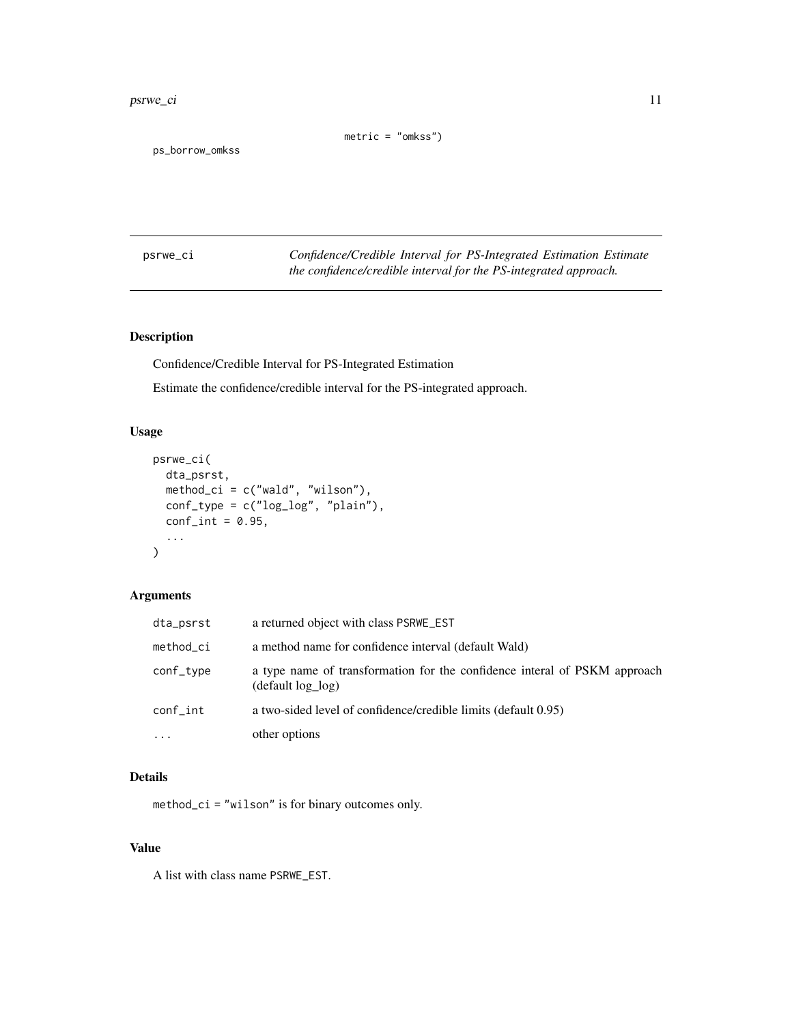#### <span id="page-10-0"></span>psrwe\_ci 11

 $metric = "omkss")$ 

ps\_borrow\_omkss

<span id="page-10-1"></span>psrwe\_ci *Confidence/Credible Interval for PS-Integrated Estimation Estimate the confidence/credible interval for the PS-integrated approach.*

## Description

Confidence/Credible Interval for PS-Integrated Estimation

Estimate the confidence/credible interval for the PS-integrated approach.

## Usage

```
psrwe_ci(
  dta_psrst,
  method_ci = c("wald", "wilson"),
  conf_type = c("log_log", "plain"),
  conf\_int = 0.95,
  ...
\mathcal{L}
```
## Arguments

| dta_psrst | a returned object with class PSRWE_EST                                                           |
|-----------|--------------------------------------------------------------------------------------------------|
| method_ci | a method name for confidence interval (default Wald)                                             |
| conf_type | a type name of transformation for the confidence interal of PSKM approach<br>$(default log_log)$ |
| conf_int  | a two-sided level of confidence/credible limits (default 0.95)                                   |
| $\cdots$  | other options                                                                                    |

## Details

method\_ci = "wilson" is for binary outcomes only.

## Value

A list with class name PSRWE\_EST.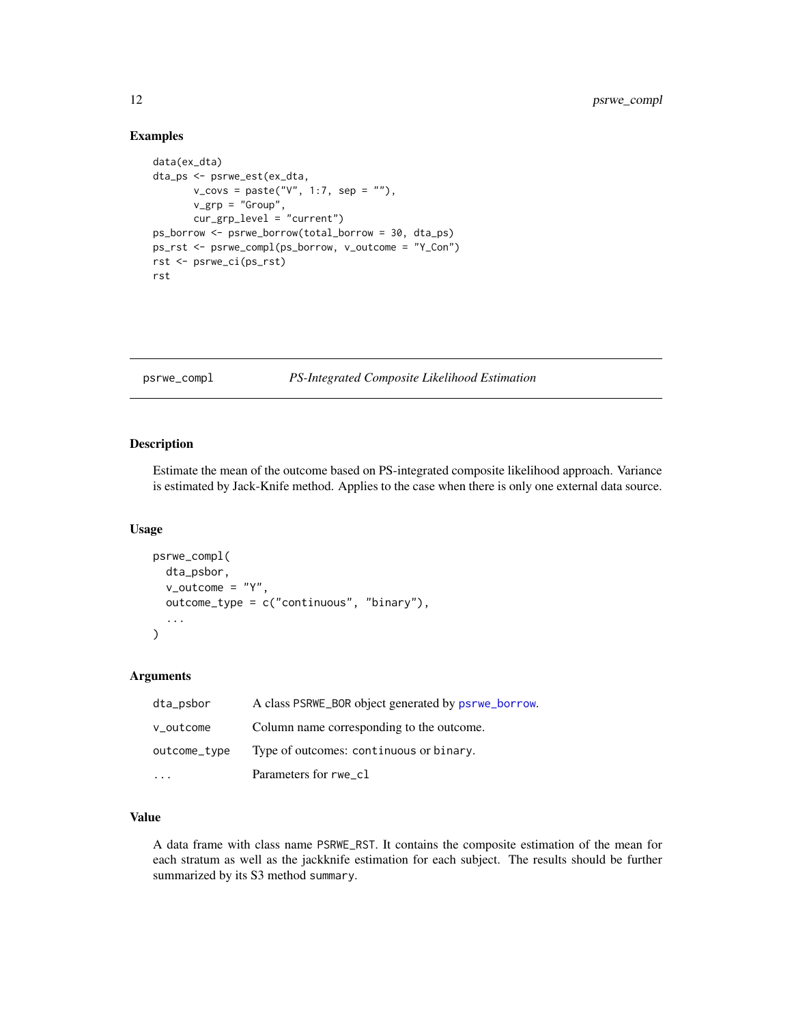#### Examples

```
data(ex_dta)
dta_ps <- psrwe_est(ex_dta,
       v_{\text{covs}} = paste("V", 1:7, sep = ""),
       v_grp = "Group",
       cur_grp_level = "current")
ps_borrow <- psrwe_borrow(total_borrow = 30, dta_ps)
ps_rst <- psrwe_compl(ps_borrow, v_outcome = "Y_Con")
rst <- psrwe_ci(ps_rst)
rst
```
<span id="page-11-1"></span>psrwe\_compl *PS-Integrated Composite Likelihood Estimation*

## Description

Estimate the mean of the outcome based on PS-integrated composite likelihood approach. Variance is estimated by Jack-Knife method. Applies to the case when there is only one external data source.

#### Usage

```
psrwe_compl(
  dta_psbor,
  v_outcome = "Y",
  outcome_type = c("continuous", "binary"),
  ...
)
```
## Arguments

| dta_psbor    | A class PSRWE_BOR object generated by psrwe_borrow. |
|--------------|-----------------------------------------------------|
| v_outcome    | Column name corresponding to the outcome.           |
| outcome_type | Type of outcomes: continuous or binary.             |
|              | Parameters for rwe_cl                               |

## Value

A data frame with class name PSRWE\_RST. It contains the composite estimation of the mean for each stratum as well as the jackknife estimation for each subject. The results should be further summarized by its S3 method summary.

<span id="page-11-0"></span>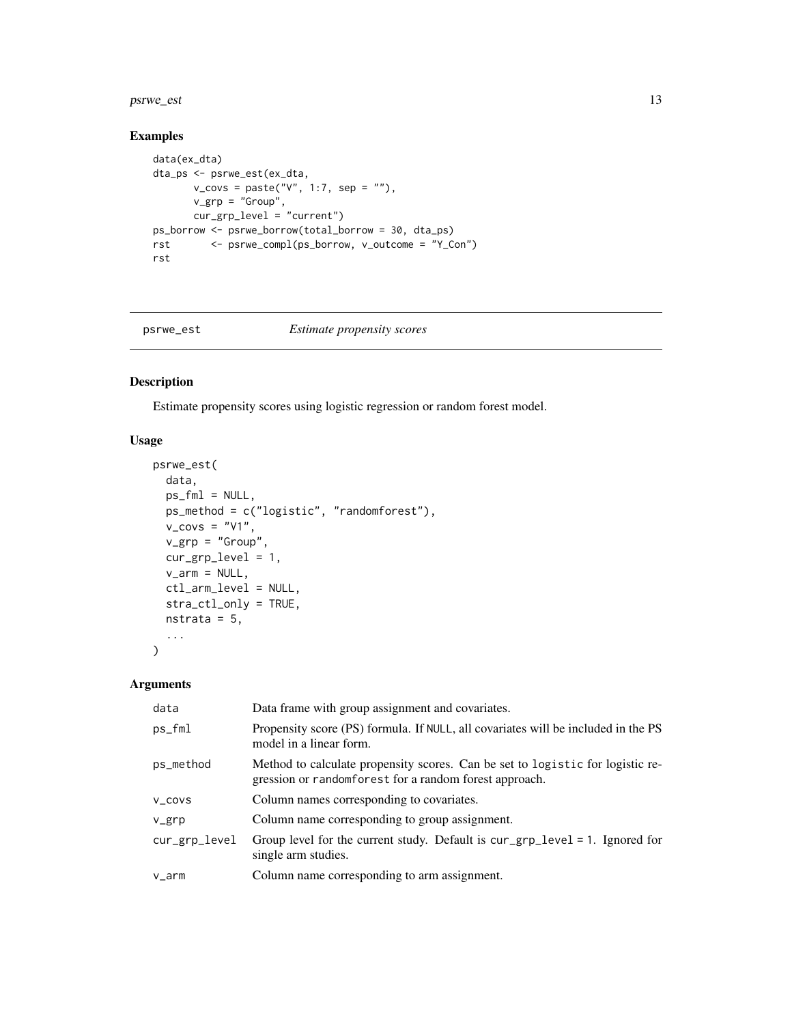#### <span id="page-12-0"></span>psrwe\_est 13

## Examples

```
data(ex_dta)
dta_ps <- psrwe_est(ex_dta,
       v_{\text{covs}} = \text{paste("V", 1:7, sep = "");}v_grp = "Group",
       cur_grp_level = "current")
ps_borrow <- psrwe_borrow(total_borrow = 30, dta_ps)
rst <- psrwe_compl(ps_borrow, v_outcome = "Y_Con")
rst
```
<span id="page-12-1"></span>

#### psrwe\_est *Estimate propensity scores*

#### Description

Estimate propensity scores using logistic regression or random forest model.

## Usage

```
psrwe_est(
  data,
  ps_fml = NULL,ps_method = c("logistic", "randomforest"),
  v_{\text{covs}} = "V1",v_{\text{grp}} = "Group",
  cur_grp_level = 1,
  v_2arm = NULL,
  ctl_arm_level = NULL,
  stra_ctl_only = TRUE,
  nstrata = 5,...
)
```

| data           | Data frame with group assignment and covariates.                                                                                         |
|----------------|------------------------------------------------------------------------------------------------------------------------------------------|
| ps_fml         | Propensity score (PS) formula. If NULL, all covariates will be included in the PS<br>model in a linear form.                             |
| ps_method      | Method to calculate propensity scores. Can be set to logistic for logistic re-<br>gression or randomforest for a random forest approach. |
| V_COVS         | Column names corresponding to covariates.                                                                                                |
| $V_{\rm g}$ rp | Column name corresponding to group assignment.                                                                                           |
| cur_grp_level  | Group level for the current study. Default is $cur\_grp\_level = 1$ . Ignored for<br>single arm studies.                                 |
| v_arm          | Column name corresponding to arm assignment.                                                                                             |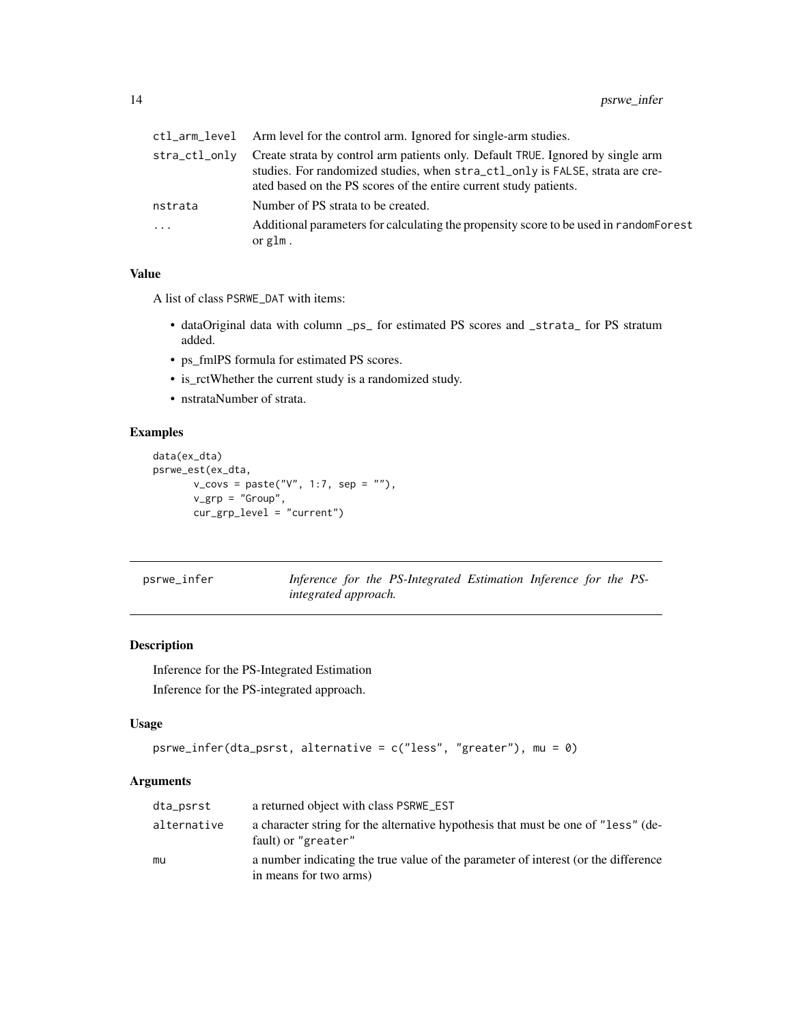<span id="page-13-0"></span>

|               | ctl_arm_level Arm level for the control arm. Ignored for single-arm studies.                                                                                                                                                          |
|---------------|---------------------------------------------------------------------------------------------------------------------------------------------------------------------------------------------------------------------------------------|
| stra_ctl_onlv | Create strata by control arm patients only. Default TRUE. Ignored by single arm<br>studies. For randomized studies, when stra_ctl_only is FALSE, strata are cre-<br>ated based on the PS scores of the entire current study patients. |
| nstrata       | Number of PS strata to be created.                                                                                                                                                                                                    |
| $\cdots$      | Additional parameters for calculating the propensity score to be used in random Forest<br>or glm.                                                                                                                                     |

#### Value

A list of class PSRWE\_DAT with items:

- dataOriginal data with column \_ps\_ for estimated PS scores and \_strata\_ for PS stratum added.
- ps\_fmlPS formula for estimated PS scores.
- is\_rctWhether the current study is a randomized study.
- nstrataNumber of strata.

## Examples

```
data(ex_dta)
psrwe_est(ex_dta,
        v_{\text{covs}} = \text{paste("V", 1:7, sep = "");}v_grp = "Group",
        cur_grp_level = "current")
```
<span id="page-13-1"></span>psrwe\_infer *Inference for the PS-Integrated Estimation Inference for the PSintegrated approach.*

#### Description

Inference for the PS-Integrated Estimation Inference for the PS-integrated approach.

## Usage

```
psrwe_infer(dta_psrst, alternative = c("less", "greater"), mu = 0)
```

| dta_psrst   | a returned object with class PSRWE_EST                                                                       |
|-------------|--------------------------------------------------------------------------------------------------------------|
| alternative | a character string for the alternative hypothesis that must be one of "less" (de-<br>fault) or "greater"     |
| mu          | a number indicating the true value of the parameter of interest (or the difference<br>in means for two arms) |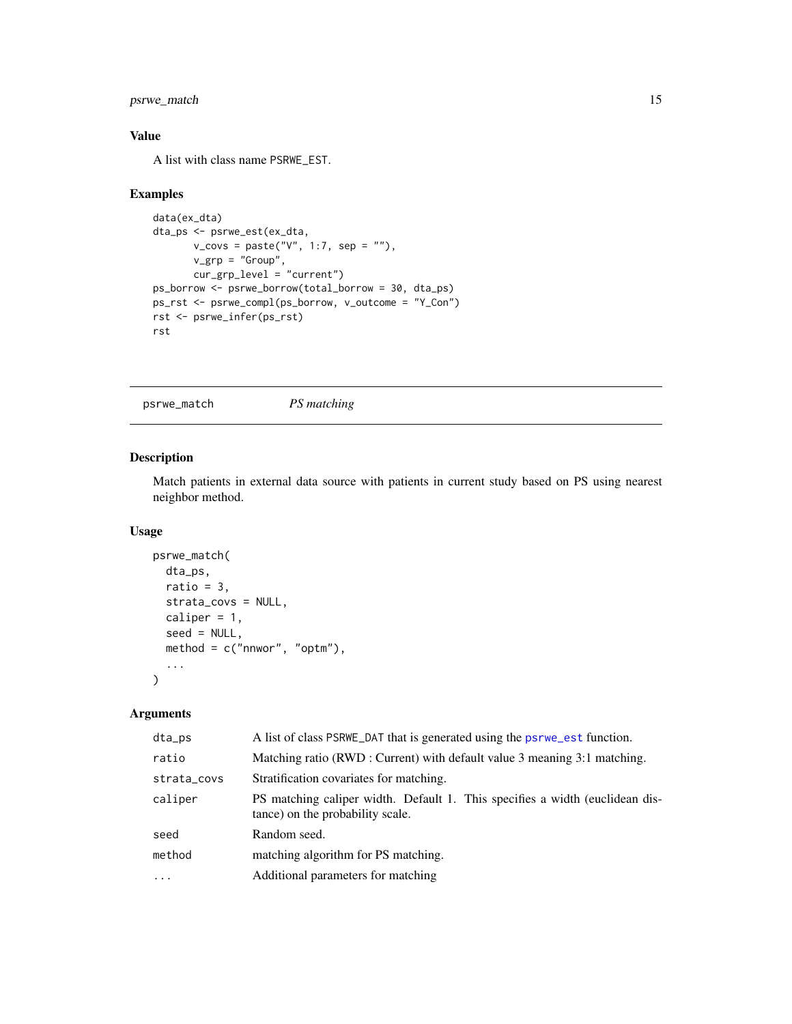## <span id="page-14-0"></span>psrwe\_match 15

## Value

A list with class name PSRWE\_EST.

## Examples

```
data(ex_dta)
dta_ps <- psrwe_est(ex_dta,
       v_{\text{covs}} = \text{paste("V", 1:7, sep = "");}v_grp = "Group",
       cur_grp_level = "current")
ps_borrow <- psrwe_borrow(total_borrow = 30, dta_ps)
ps_rst <- psrwe_compl(ps_borrow, v_outcome = "Y_Con")
rst <- psrwe_infer(ps_rst)
rst
```
<span id="page-14-1"></span>psrwe\_match *PS matching*

## Description

Match patients in external data source with patients in current study based on PS using nearest neighbor method.

## Usage

```
psrwe_match(
  dta_ps,
  ratio = 3,
  strata_covs = NULL,
  caliper = 1,
  seed = NULL,
  method = c("nnwor", "optm"),
  ...
\mathcal{L}
```

| dta_ps      | A list of class PSRWE DAT that is generated using the psrwe est function.                                        |
|-------------|------------------------------------------------------------------------------------------------------------------|
| ratio       | Matching ratio (RWD : Current) with default value 3 meaning 3:1 matching.                                        |
| strata_covs | Stratification covariates for matching.                                                                          |
| caliper     | PS matching caliper width. Default 1. This specifies a width (euclidean dis-<br>tance) on the probability scale. |
| seed        | Random seed.                                                                                                     |
| method      | matching algorithm for PS matching.                                                                              |
| $\cdots$    | Additional parameters for matching                                                                               |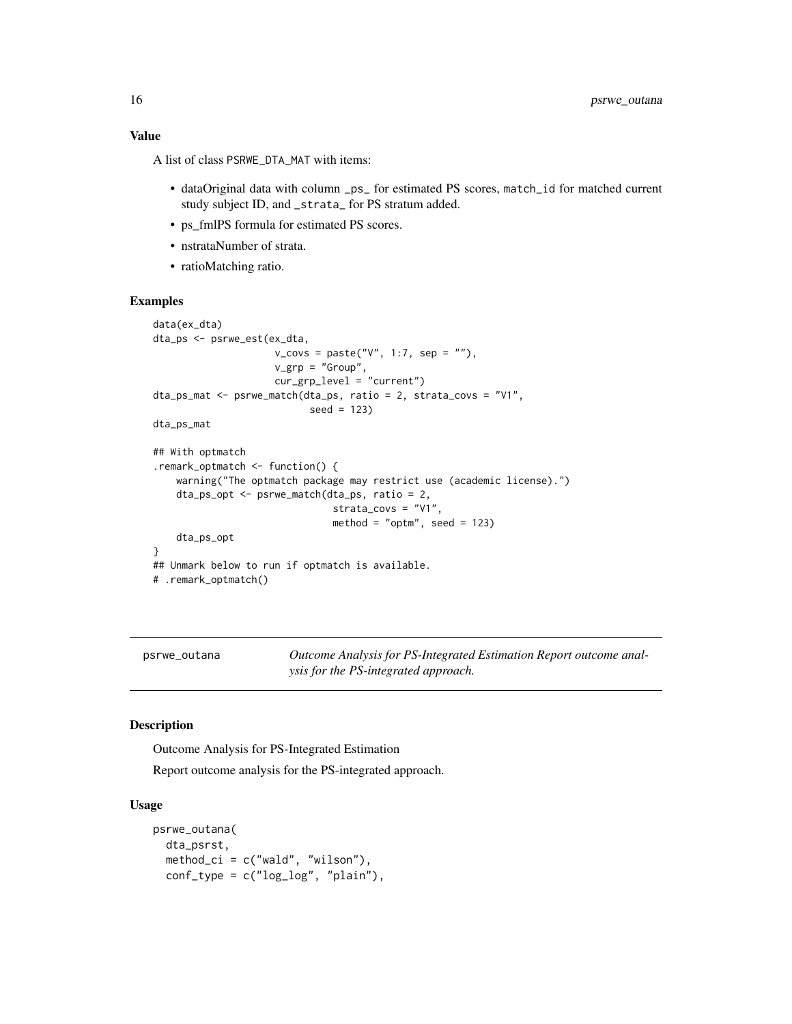<span id="page-15-0"></span>A list of class PSRWE\_DTA\_MAT with items:

- dataOriginal data with column \_ps\_ for estimated PS scores, match\_id for matched current study subject ID, and \_strata\_ for PS stratum added.
- ps\_fmlPS formula for estimated PS scores.
- nstrataNumber of strata.
- ratioMatching ratio.

#### Examples

```
data(ex_dta)
dta_ps <- psrwe_est(ex_dta,
                     v_{\text{covs}} = \text{paste("V", 1:7, sep = "");}v_grp = "Group",
                     cur_grp_level = "current")
dta_ps_mat <- psrwe_match(dta_ps, ratio = 2, strata_covs = "V1",
                            seed = 123)
dta_ps_mat
## With optmatch
.remark_optmatch <- function() {
    warning("The optmatch package may restrict use (academic license).")
    dta_ps_opt <- psrwe_match(dta_ps, ratio = 2,
                                strata_covs = "V1",
                                method = "optm", seed = 123)
    dta_ps_opt
}
## Unmark below to run if optmatch is available.
# .remark_optmatch()
```
<span id="page-15-1"></span>

psrwe\_outana *Outcome Analysis for PS-Integrated Estimation Report outcome analysis for the PS-integrated approach.*

#### Description

Outcome Analysis for PS-Integrated Estimation

Report outcome analysis for the PS-integrated approach.

#### Usage

```
psrwe_outana(
  dta_psrst,
  method_ci = c("wald", "wilson"),
  conf_type = c("log_log", "plain"),
```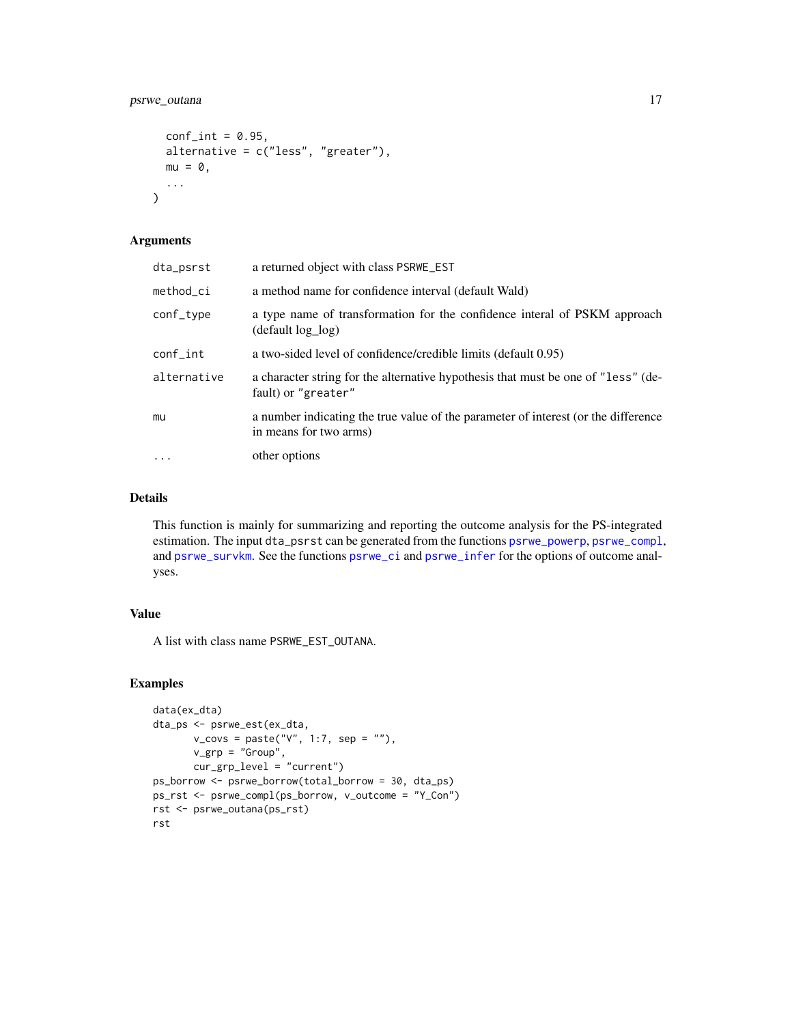```
conf\_int = 0.95,
 alternative = c("less", "greater"),
 mu = 0,
  ...
)
```
#### Arguments

| dta_psrst   | a returned object with class PSRWE_EST                                                                       |
|-------------|--------------------------------------------------------------------------------------------------------------|
| method_ci   | a method name for confidence interval (default Wald)                                                         |
| conf_type   | a type name of transformation for the confidence interal of PSKM approach<br>(default log_log)               |
| conf_int    | a two-sided level of confidence/credible limits (default 0.95)                                               |
| alternative | a character string for the alternative hypothesis that must be one of "less" (de-<br>fault) or "greater"     |
| mu          | a number indicating the true value of the parameter of interest (or the difference<br>in means for two arms) |
| $\cdots$    | other options                                                                                                |
|             |                                                                                                              |

## Details

This function is mainly for summarizing and reporting the outcome analysis for the PS-integrated estimation. The input dta\_psrst can be generated from the functions [psrwe\\_powerp](#page-17-1), [psrwe\\_compl](#page-11-1), and [psrwe\\_survkm](#page-18-1). See the functions [psrwe\\_ci](#page-10-1) and [psrwe\\_infer](#page-13-1) for the options of outcome analyses.

### Value

A list with class name PSRWE\_EST\_OUTANA.

## Examples

```
data(ex_dta)
dta_ps <- psrwe_est(ex_dta,
       v_{\text{covs}} = \text{paste("V", 1:7, sep = "");}v_grp = "Group",
       cur_grp_level = "current")
ps_borrow <- psrwe_borrow(total_borrow = 30, dta_ps)
ps_rst <- psrwe_compl(ps_borrow, v_outcome = "Y_Con")
rst <- psrwe_outana(ps_rst)
rst
```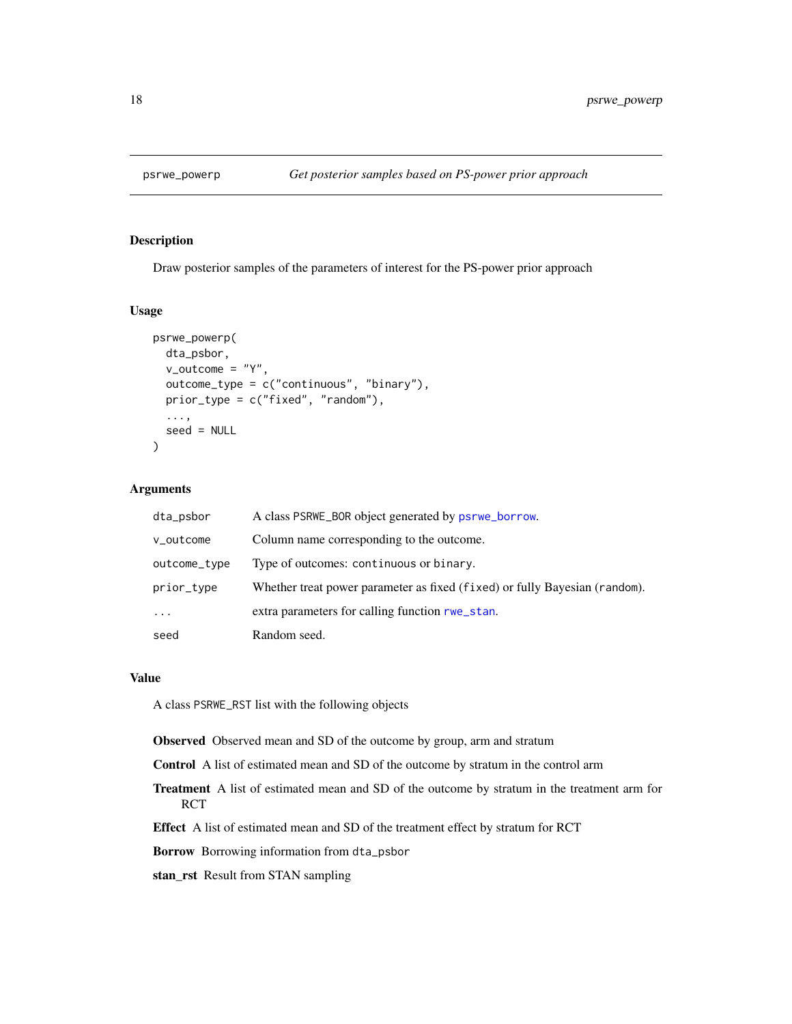<span id="page-17-1"></span><span id="page-17-0"></span>

Draw posterior samples of the parameters of interest for the PS-power prior approach

#### Usage

```
psrwe_powerp(
  dta_psbor,
  v_outcome = "Y",
  outcome_type = c("continuous", "binary"),
 prior_type = c("fixed", "random"),
  ...,
  seed = NULL)
```
#### Arguments

| dta_psbor    | A class PSRWE_BOR object generated by psrwe_borrow.                        |
|--------------|----------------------------------------------------------------------------|
| v_outcome    | Column name corresponding to the outcome.                                  |
| outcome_type | Type of outcomes: continuous or binary.                                    |
| prior_type   | Whether treat power parameter as fixed (fixed) or fully Bayesian (random). |
| $\cdots$     | extra parameters for calling function rwe_stan.                            |
| seed         | Random seed.                                                               |

#### Value

A class PSRWE\_RST list with the following objects

Observed Observed mean and SD of the outcome by group, arm and stratum

Control A list of estimated mean and SD of the outcome by stratum in the control arm

Treatment A list of estimated mean and SD of the outcome by stratum in the treatment arm for RCT

Effect A list of estimated mean and SD of the treatment effect by stratum for RCT

Borrow Borrowing information from dta\_psbor

stan\_rst Result from STAN sampling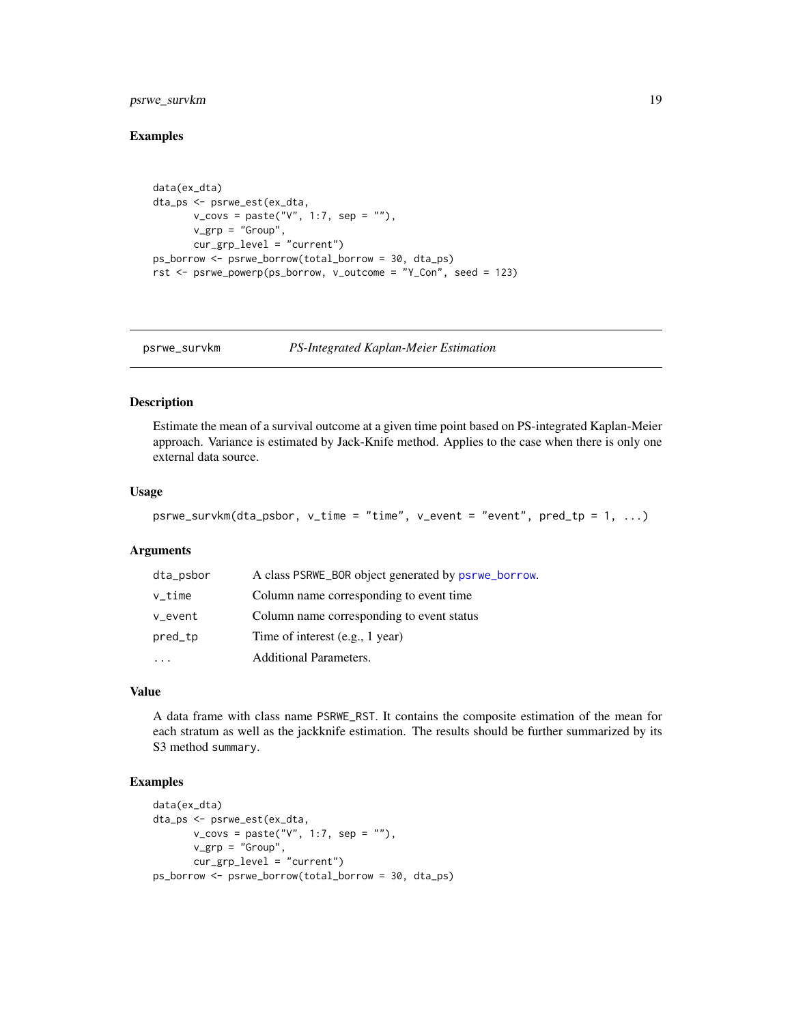## <span id="page-18-0"></span>psrwe\_survkm 19

#### Examples

```
data(ex_dta)
dta_ps <- psrwe_est(ex_dta,
       v_{\text{covs}} = \text{paste("V", 1:7, sep = "");}v_grp = "Group",
       cur_grp_level = "current")
ps_borrow <- psrwe_borrow(total_borrow = 30, dta_ps)
rst <- psrwe_powerp(ps_borrow, v_outcome = "Y_Con", seed = 123)
```
<span id="page-18-1"></span>

```
psrwe_survkm PS-Integrated Kaplan-Meier Estimation
```
#### Description

Estimate the mean of a survival outcome at a given time point based on PS-integrated Kaplan-Meier approach. Variance is estimated by Jack-Knife method. Applies to the case when there is only one external data source.

#### Usage

```
psrwe_survkm(dta_psbor, v_time = "time", v_event = "event", pred_tp = 1, ...)
```
#### Arguments

| dta_psbor | A class PSRWE_BOR object generated by psrwe_borrow. |
|-----------|-----------------------------------------------------|
| $v_t$ ime | Column name corresponding to event time             |
| v_event   | Column name corresponding to event status           |
| pred_tp   | Time of interest (e.g., 1 year)                     |
|           | Additional Parameters.                              |

## Value

A data frame with class name PSRWE\_RST. It contains the composite estimation of the mean for each stratum as well as the jackknife estimation. The results should be further summarized by its S3 method summary.

## Examples

```
data(ex_dta)
dta_ps <- psrwe_est(ex_dta,
       v_{\text{covs}} = \text{paste("V", 1:7, sep = "");}v_grp = "Group",
       cur_grp_level = "current")
ps_borrow <- psrwe_borrow(total_borrow = 30, dta_ps)
```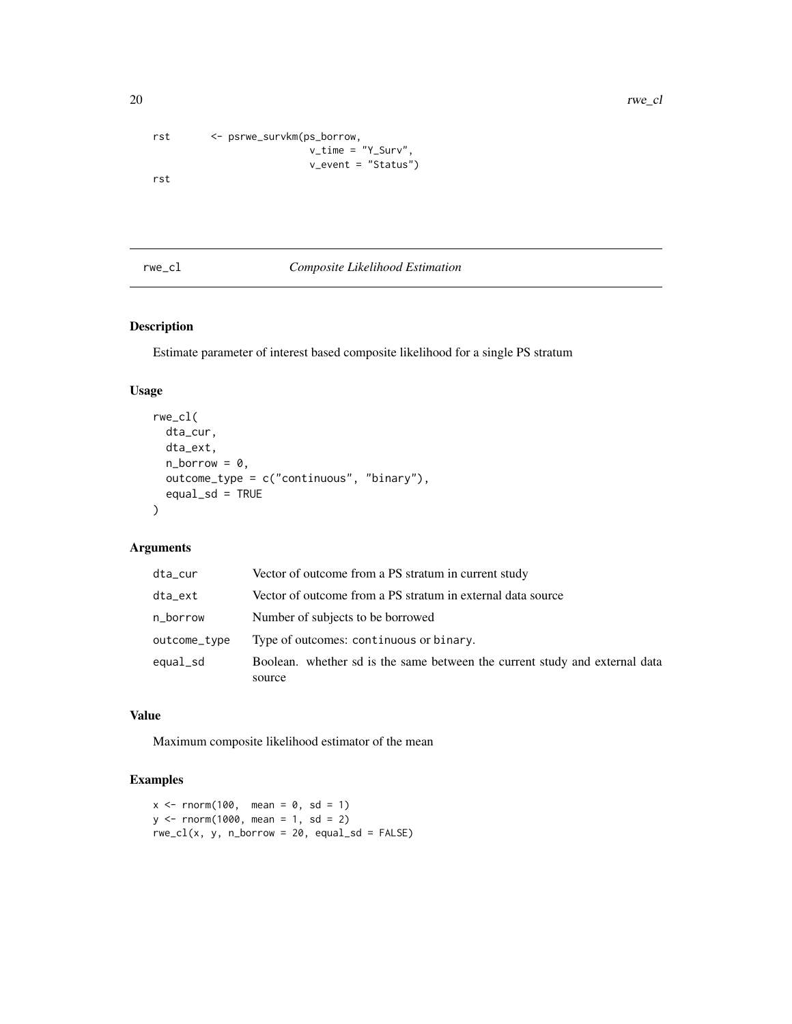20 rwe\_cl

```
rst <- psrwe_survkm(ps_borrow,
                        v_time = "Y_Surv",
                         v_event = "Status")
rst
```
#### rwe\_cl *Composite Likelihood Estimation*

## Description

Estimate parameter of interest based composite likelihood for a single PS stratum

## Usage

```
rwe_cl(
 dta_cur,
 dta_ext,
 n_borrow = 0,
 outcome_type = c("continuous", "binary"),
  equal_s d = TRUE)
```
## Arguments

| dta_cur      | Vector of outcome from a PS stratum in current study                        |
|--------------|-----------------------------------------------------------------------------|
| dta_ext      | Vector of outcome from a PS stratum in external data source                 |
| n_borrow     | Number of subjects to be borrowed                                           |
| outcome_type | Type of outcomes: continuous or binary.                                     |
| equal_sd     | Boolean. whether sd is the same between the current study and external data |
|              | source                                                                      |

## Value

Maximum composite likelihood estimator of the mean

## Examples

```
x \le rnorm(100, mean = 0, sd = 1)
y \le - rnorm(1000, mean = 1, sd = 2)
rwe_cl(x, y, n_borrow = 20, equal_sd = FALSE)
```
<span id="page-19-0"></span>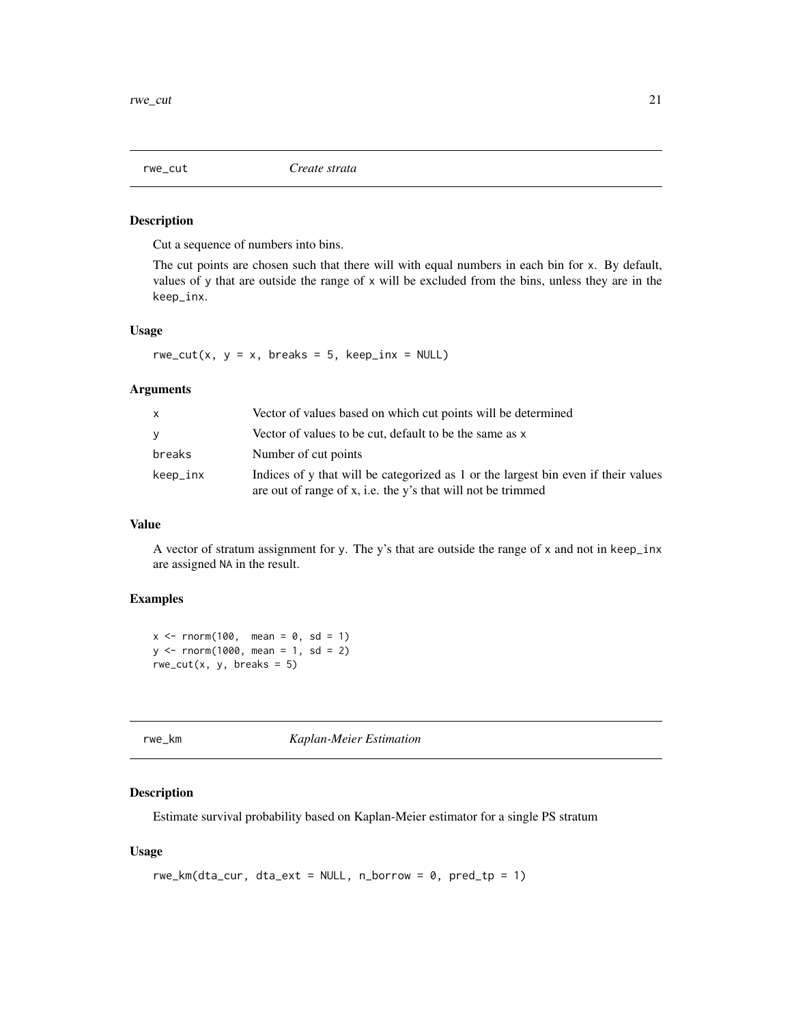<span id="page-20-0"></span>

Cut a sequence of numbers into bins.

The cut points are chosen such that there will with equal numbers in each bin for x. By default, values of y that are outside the range of x will be excluded from the bins, unless they are in the keep\_inx.

#### Usage

rwe\_cut(x,  $y = x$ , breaks = 5, keep\_inx = NULL)

#### Arguments

| x        | Vector of values based on which cut points will be determined                                                                                      |
|----------|----------------------------------------------------------------------------------------------------------------------------------------------------|
| V        | Vector of values to be cut, default to be the same as x                                                                                            |
| breaks   | Number of cut points                                                                                                                               |
| keep_inx | Indices of y that will be categorized as 1 or the largest bin even if their values<br>are out of range of x, i.e. the y's that will not be trimmed |

## Value

A vector of stratum assignment for y. The y's that are outside the range of x and not in keep\_inx are assigned NA in the result.

## Examples

 $x \le$  rnorm(100, mean = 0, sd = 1)  $y \le -$  rnorm(1000, mean = 1, sd = 2)  $rwe-cut(x, y, breaks = 5)$ 

rwe\_km *Kaplan-Meier Estimation*

## Description

Estimate survival probability based on Kaplan-Meier estimator for a single PS stratum

#### Usage

```
rwe_km(dta_cur, dta_ext = NULL, n_borrow = 0, pred_tp = 1)
```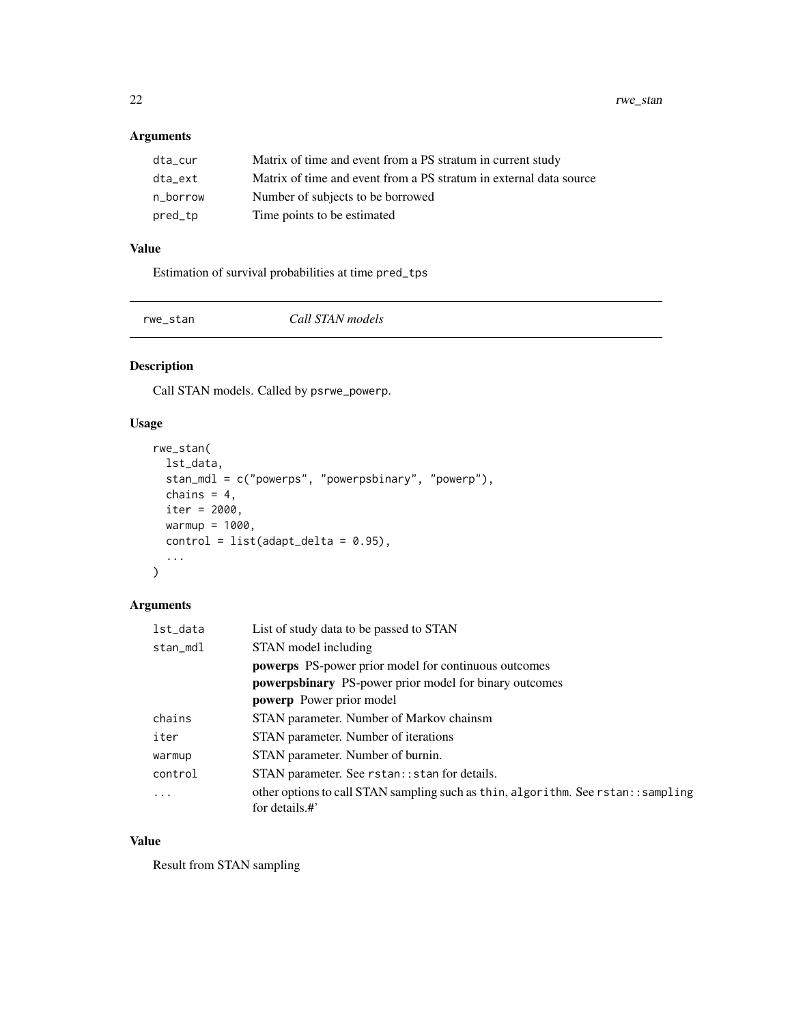<span id="page-21-0"></span>22 rwe\_stan

## Arguments

| dta_cur  | Matrix of time and event from a PS stratum in current study        |
|----------|--------------------------------------------------------------------|
| dta_ext  | Matrix of time and event from a PS stratum in external data source |
| n borrow | Number of subjects to be borrowed                                  |
| pred_tp  | Time points to be estimated                                        |

## Value

Estimation of survival probabilities at time pred\_tps

<span id="page-21-1"></span>

rwe\_stan *Call STAN models*

## Description

Call STAN models. Called by psrwe\_powerp.

## Usage

```
rwe_stan(
  lst_data,
  stan_mdl = c("powerps", "powerpsbinary", "powerp"),
  chains = 4,
  iter = 2000,
  warmup = 1000,
  control = list(adapt\_delta = 0.95),
  ...
\mathcal{L}
```
## Arguments

| lst_data   | List of study data to be passed to STAN                                                             |
|------------|-----------------------------------------------------------------------------------------------------|
| stan_mdl   | STAN model including                                                                                |
|            | <b>powerps</b> PS-power prior model for continuous outcomes                                         |
|            | <b>powerpsbinary</b> PS-power prior model for binary outcomes                                       |
|            | <b>powerp</b> Power prior model                                                                     |
| chains     | STAN parameter. Number of Markov chainsm                                                            |
| iter       | STAN parameter. Number of iterations                                                                |
| warmup     | STAN parameter. Number of burnin.                                                                   |
| control    | STAN parameter. See rstan:: stan for details.                                                       |
| $\ddots$ . | other options to call STAN sampling such as thin, algorithm. See rstan:: sampling<br>for details.#' |

## Value

Result from STAN sampling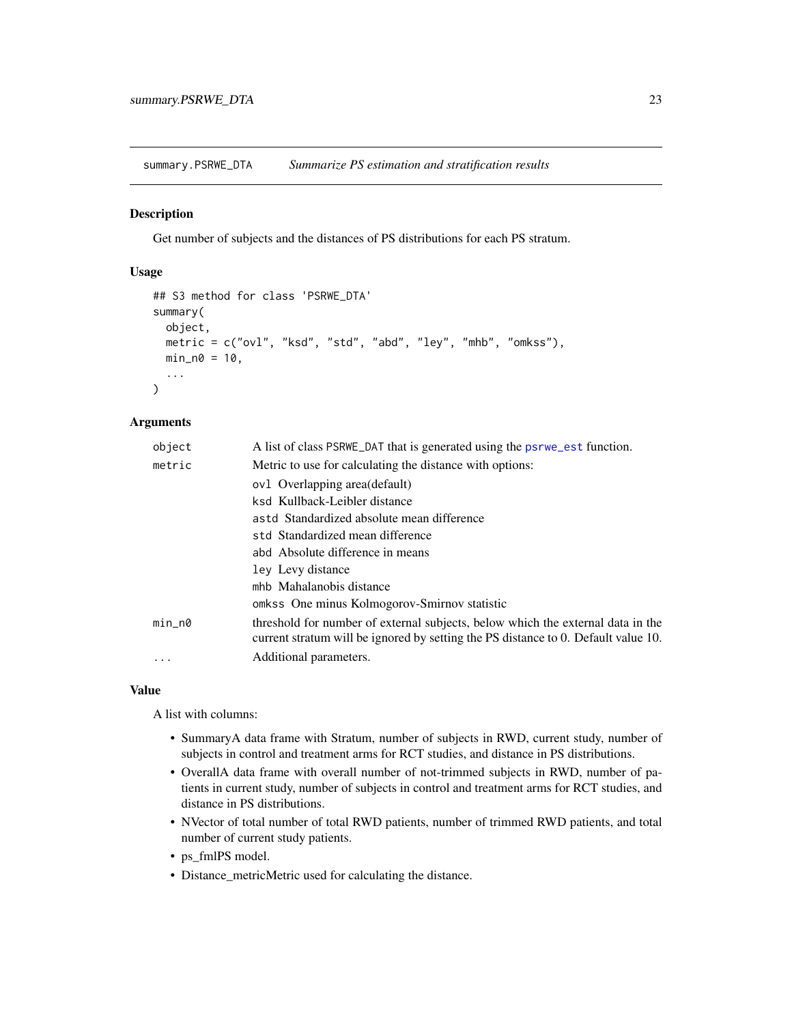<span id="page-22-1"></span><span id="page-22-0"></span>summary.PSRWE\_DTA *Summarize PS estimation and stratification results*

### Description

Get number of subjects and the distances of PS distributions for each PS stratum.

#### Usage

```
## S3 method for class 'PSRWE_DTA'
summary(
 object,
 metric = c("ovl", "ksd", "std", "abd", "ley", "mhb", "omkss"),
 min_m0 = 10,
  ...
)
```
#### Arguments

| object   | A list of class PSRWE DAT that is generated using the psrwe est function.                                                                                             |
|----------|-----------------------------------------------------------------------------------------------------------------------------------------------------------------------|
| metric   | Metric to use for calculating the distance with options:                                                                                                              |
|          | ov1 Overlapping area(default)                                                                                                                                         |
|          | ksd Kullback-Leibler distance                                                                                                                                         |
|          | astd Standardized absolute mean difference                                                                                                                            |
|          | std Standardized mean difference                                                                                                                                      |
|          | abd Absolute difference in means                                                                                                                                      |
|          | ley Levy distance                                                                                                                                                     |
|          | mhb Mahalanobis distance                                                                                                                                              |
|          | omkss One minus Kolmogorov-Smirnov statistic                                                                                                                          |
| $min_n$  | threshold for number of external subjects, below which the external data in the<br>current stratum will be ignored by setting the PS distance to 0. Default value 10. |
| $\cdots$ | Additional parameters.                                                                                                                                                |

#### Value

A list with columns:

- SummaryA data frame with Stratum, number of subjects in RWD, current study, number of subjects in control and treatment arms for RCT studies, and distance in PS distributions.
- OverallA data frame with overall number of not-trimmed subjects in RWD, number of patients in current study, number of subjects in control and treatment arms for RCT studies, and distance in PS distributions.
- NVector of total number of total RWD patients, number of trimmed RWD patients, and total number of current study patients.
- ps\_fmlPS model.
- Distance\_metricMetric used for calculating the distance.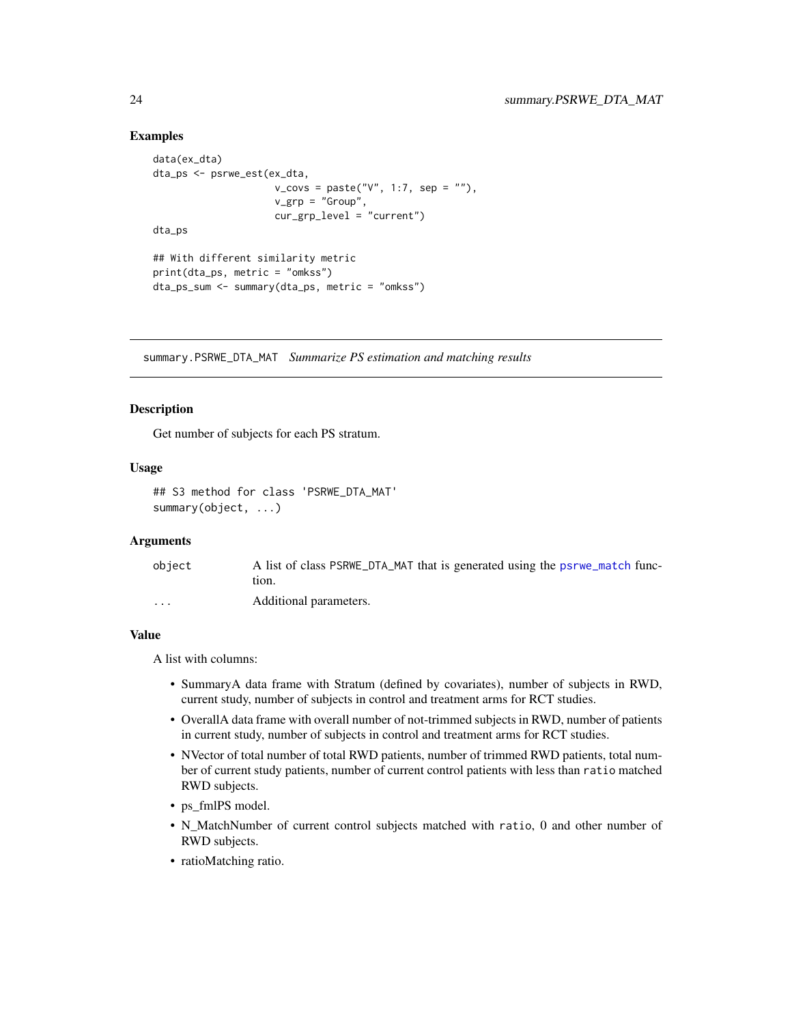#### Examples

```
data(ex_dta)
dta_ps <- psrwe_est(ex_dta,
                      v_{\text{covs}} = paste("V", 1:7, sep = ""),
                      v_{\text{grp}} = "Group",cur_grp_level = "current")
dta_ps
## With different similarity metric
print(dta_ps, metric = "omkss")
dta_ps_sum <- summary(dta_ps, metric = "omkss")
```
<span id="page-23-1"></span>summary.PSRWE\_DTA\_MAT *Summarize PS estimation and matching results*

#### Description

Get number of subjects for each PS stratum.

## Usage

```
## S3 method for class 'PSRWE_DTA_MAT'
summary(object, ...)
```
#### **Arguments**

| object                  | A list of class PSRWE DTA MAT that is generated using the psrwe match func- |
|-------------------------|-----------------------------------------------------------------------------|
|                         | tion.                                                                       |
| $\cdot$ $\cdot$ $\cdot$ | Additional parameters.                                                      |

#### Value

A list with columns:

- SummaryA data frame with Stratum (defined by covariates), number of subjects in RWD, current study, number of subjects in control and treatment arms for RCT studies.
- OverallA data frame with overall number of not-trimmed subjects in RWD, number of patients in current study, number of subjects in control and treatment arms for RCT studies.
- NVector of total number of total RWD patients, number of trimmed RWD patients, total number of current study patients, number of current control patients with less than ratio matched RWD subjects.
- ps\_fmlPS model.
- N\_MatchNumber of current control subjects matched with ratio, 0 and other number of RWD subjects.
- ratioMatching ratio.

<span id="page-23-0"></span>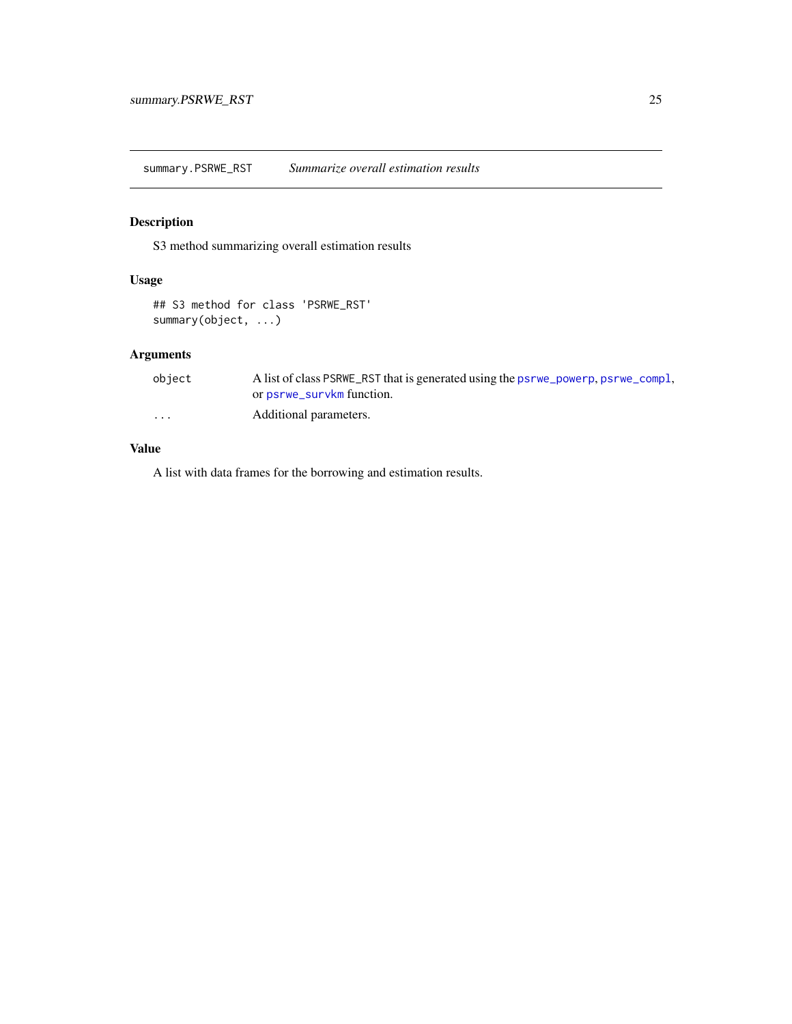<span id="page-24-1"></span><span id="page-24-0"></span>summary.PSRWE\_RST *Summarize overall estimation results*

## Description

S3 method summarizing overall estimation results

## Usage

```
## S3 method for class 'PSRWE_RST'
summary(object, ...)
```
## Arguments

| object   | A list of class PSRWE_RST that is generated using the psrwe_powerp, psrwe_compl, |
|----------|----------------------------------------------------------------------------------|
|          | or psrwe_survkm function.                                                        |
| $\cdots$ | Additional parameters.                                                           |

## Value

A list with data frames for the borrowing and estimation results.